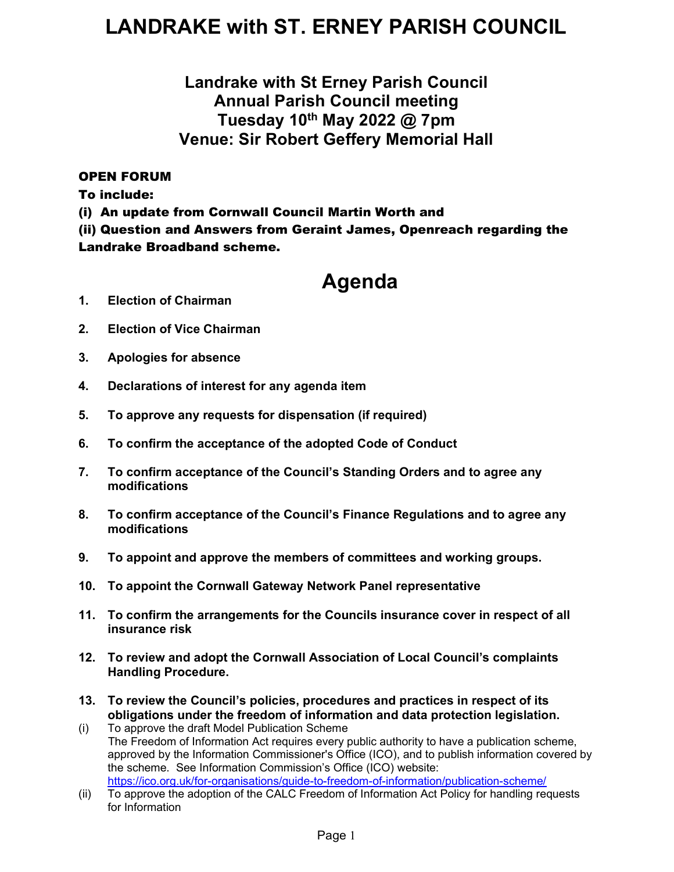## LANDRAKE with ST. ERNEY PARISH COUNCIL

### Landrake with St Erney Parish Council Annual Parish Council meeting Tuesday 10th May 2022 @ 7pm Venue: Sir Robert Geffery Memorial Hall

### OPEN FORUM

To include:

(i) An update from Cornwall Council Martin Worth and

(ii) Question and Answers from Geraint James, Openreach regarding the Landrake Broadband scheme.

### Agenda

- 1. Election of Chairman
- 2. Election of Vice Chairman
- 3. Apologies for absence
- 4. Declarations of interest for any agenda item
- 5. To approve any requests for dispensation (if required)
- 6. To confirm the acceptance of the adopted Code of Conduct
- 7. To confirm acceptance of the Council's Standing Orders and to agree any modifications
- 8. To confirm acceptance of the Council's Finance Regulations and to agree any modifications
- 9. To appoint and approve the members of committees and working groups.
- 10. To appoint the Cornwall Gateway Network Panel representative
- 11. To confirm the arrangements for the Councils insurance cover in respect of all insurance risk
- 12. To review and adopt the Cornwall Association of Local Council's complaints Handling Procedure.
- 13. To review the Council's policies, procedures and practices in respect of its obligations under the freedom of information and data protection legislation.
- (i) To approve the draft Model Publication Scheme The Freedom of Information Act requires every public authority to have a publication scheme, approved by the Information Commissioner's Office (ICO), and to publish information covered by the scheme. See Information Commission's Office (ICO) website: https://ico.org.uk/for-organisations/guide-to-freedom-of-information/publication-scheme/
- (ii) To approve the adoption of the CALC Freedom of Information Act Policy for handling requests for Information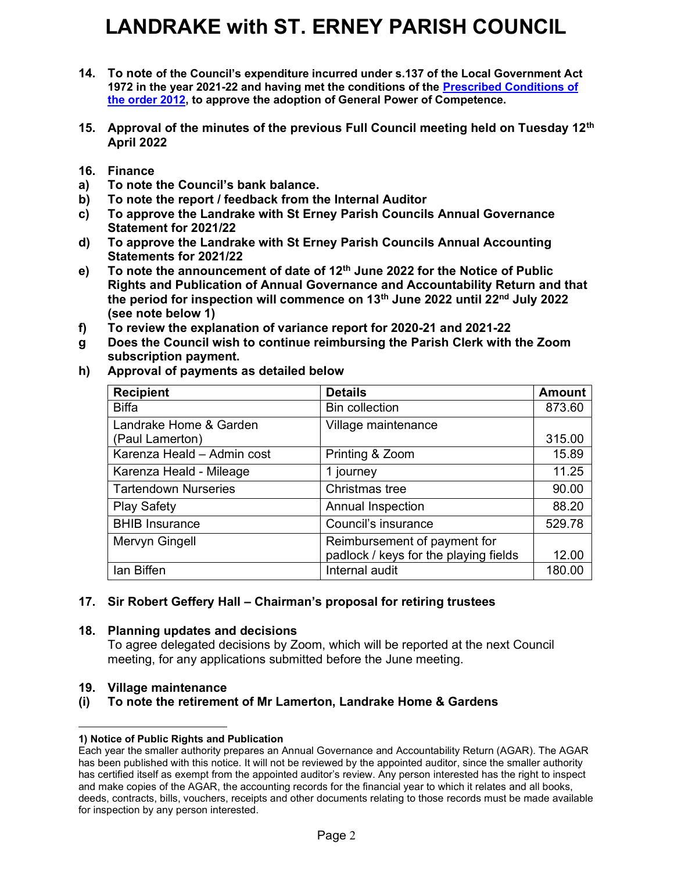# LANDRAKE with ST. ERNEY PARISH COUNCIL

- 14. To note of the Council's expenditure incurred under s.137 of the Local Government Act 1972 in the year 2021-22 and having met the conditions of the Prescribed Conditions of the order 2012, to approve the adoption of General Power of Competence.
- 15. Approval of the minutes of the previous Full Council meeting held on Tuesday 12<sup>th</sup> April 2022
- 16. Finance
- a) To note the Council's bank balance.
- b) To note the report / feedback from the Internal Auditor
- c) To approve the Landrake with St Erney Parish Councils Annual Governance Statement for 2021/22
- d) To approve the Landrake with St Erney Parish Councils Annual Accounting Statements for 2021/22
- e) To note the announcement of date of  $12<sup>th</sup>$  June 2022 for the Notice of Public Rights and Publication of Annual Governance and Accountability Return and that the period for inspection will commence on  $13<sup>th</sup>$  June 2022 until 22<sup>nd</sup> July 2022 (see note below 1)
- f) To review the explanation of variance report for 2020-21 and 2021-22
- g Does the Council wish to continue reimbursing the Parish Clerk with the Zoom subscription payment.
- Approval of payments as detailed below h)

| <b>Recipient</b>                          | <b>Details</b>                        | <b>Amount</b> |
|-------------------------------------------|---------------------------------------|---------------|
| <b>Biffa</b>                              | <b>Bin collection</b>                 | 873.60        |
| Landrake Home & Garden<br>(Paul Lamerton) | Village maintenance                   | 315.00        |
| Karenza Heald - Admin cost                | Printing & Zoom                       | 15.89         |
| Karenza Heald - Mileage                   | 1 journey                             | 11.25         |
| <b>Tartendown Nurseries</b>               | Christmas tree                        | 90.00         |
| <b>Play Safety</b>                        | <b>Annual Inspection</b>              | 88.20         |
| <b>BHIB Insurance</b>                     | Council's insurance                   | 529.78        |
| Mervyn Gingell                            | Reimbursement of payment for          |               |
|                                           | padlock / keys for the playing fields | 12.00         |
| lan Biffen                                | Internal audit                        | 180.00        |

#### 17. Sir Robert Geffery Hall – Chairman's proposal for retiring trustees

#### 18. Planning updates and decisions

To agree delegated decisions by Zoom, which will be reported at the next Council meeting, for any applications submitted before the June meeting.

#### 19. Village maintenance

#### (i) To note the retirement of Mr Lamerton, Landrake Home & Gardens

#### 1) Notice of Public Rights and Publication

Each year the smaller authority prepares an Annual Governance and Accountability Return (AGAR). The AGAR has been published with this notice. It will not be reviewed by the appointed auditor, since the smaller authority has certified itself as exempt from the appointed auditor's review. Any person interested has the right to inspect and make copies of the AGAR, the accounting records for the financial year to which it relates and all books, deeds, contracts, bills, vouchers, receipts and other documents relating to those records must be made available for inspection by any person interested.